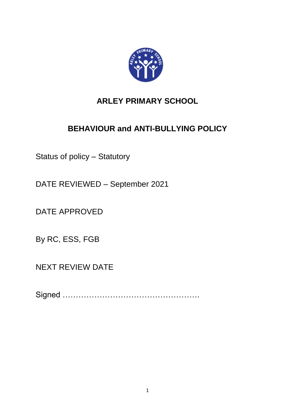

# **ARLEY PRIMARY SCHOOL**

# **BEHAVIOUR and ANTI-BULLYING POLICY**

Status of policy – Statutory

DATE REVIEWED – September 2021

DATE APPROVED

By RC, ESS, FGB

NEXT REVIEW DATE

Signed …………………………………………….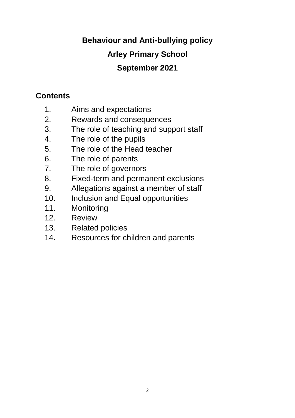# **Behaviour and Anti-bullying policy Arley Primary School September 2021**

# **Contents**

- 1. Aims and expectations
- 2. Rewards and consequences
- 3. The role of teaching and support staff
- 4. The role of the pupils
- 5. The role of the Head teacher
- 6. The role of parents
- 7. The role of governors
- 8. Fixed-term and permanent exclusions
- 9. Allegations against a member of staff
- 10. Inclusion and Equal opportunities
- 11. Monitoring
- 12. Review
- 13. Related policies
- 14. Resources for children and parents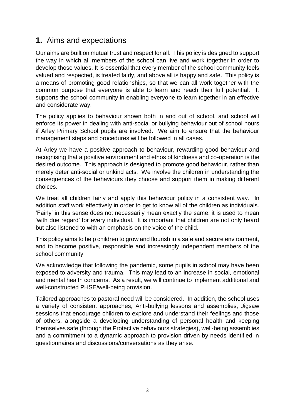### **1.** Aims and expectations

Our aims are built on mutual trust and respect for all. This policy is designed to support the way in which all members of the school can live and work together in order to develop those values. It is essential that every member of the school community feels valued and respected, is treated fairly, and above all is happy and safe. This policy is a means of promoting good relationships, so that we can all work together with the common purpose that everyone is able to learn and reach their full potential. It supports the school community in enabling everyone to learn together in an effective and considerate way.

The policy applies to behaviour shown both in and out of school, and school will enforce its power in dealing with anti-social or bullying behaviour out of school hours if Arley Primary School pupils are involved. We aim to ensure that the behaviour management steps and procedures will be followed in all cases.

At Arley we have a positive approach to behaviour, rewarding good behaviour and recognising that a positive environment and ethos of kindness and co-operation is the desired outcome. This approach is designed to promote good behaviour, rather than merely deter anti-social or unkind acts. We involve the children in understanding the consequences of the behaviours they choose and support them in making different choices.

We treat all children fairly and apply this behaviour policy in a consistent way. In addition staff work effectively in order to get to know all of the children as individuals. 'Fairly' in this sense does not necessarily mean exactly the same; it is used to mean 'with due regard' for every individual. It is important that children are not only heard but also listened to with an emphasis on the voice of the child.

This policy aims to help children to grow and flourish in a safe and secure environment, and to become positive, responsible and increasingly independent members of the school community.

We acknowledge that following the pandemic, some pupils in school may have been exposed to adversity and trauma. This may lead to an increase in social, emotional and mental health concerns. As a result, we will continue to implement additional and well-constructed PHSE/well-being provision.

Tailored approaches to pastoral need will be considered. In addition, the school uses a variety of consistent approaches, Anti-bullying lessons and assemblies, Jigsaw sessions that encourage children to explore and understand their feelings and those of others, alongside a developing understanding of personal health and keeping themselves safe (through the Protective behaviours strategies), well-being assemblies and a commitment to a dynamic approach to provision driven by needs identified in questionnaires and discussions/conversations as they arise.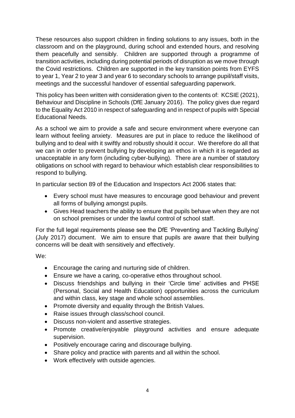These resources also support children in finding solutions to any issues, both in the classroom and on the playground, during school and extended hours, and resolving them peacefully and sensibly. Children are supported through a programme of transition activities, including during potential periods of disruption as we move through the Covid restrictions. Children are supported in the key transition points from EYFS to year 1, Year 2 to year 3 and year 6 to secondary schools to arrange pupil/staff visits, meetings and the successful handover of essential safeguarding paperwork.

This policy has been written with consideration given to the contents of: KCSIE (2021), Behaviour and Discipline in Schools (DfE January 2016). The policy gives due regard to the Equality Act 2010 in respect of safeguarding and in respect of pupils with Special Educational Needs.

As a school we aim to provide a safe and secure environment where everyone can learn without feeling anxiety. Measures are put in place to reduce the likelihood of bullying and to deal with it swiftly and robustly should it occur. We therefore do all that we can in order to prevent bullying by developing an ethos in which it is regarded as unacceptable in any form (including cyber-bullying). There are a number of statutory obligations on school with regard to behaviour which establish clear responsibilities to respond to bullying.

In particular section 89 of the Education and Inspectors Act 2006 states that:

- Every school must have measures to encourage good behaviour and prevent all forms of bullying amongst pupils.
- Gives Head teachers the ability to ensure that pupils behave when they are not on school premises or under the lawful control of school staff.

For the full legal requirements please see the DfE 'Preventing and Tackling Bullying' (July 2017) document. We aim to ensure that pupils are aware that their bullying concerns will be dealt with sensitively and effectively.

We:

- Encourage the caring and nurturing side of children.
- Ensure we have a caring, co-operative ethos throughout school.
- Discuss friendships and bullying in their 'Circle time' activities and PHSE (Personal, Social and Health Education) opportunities across the curriculum and within class, key stage and whole school assemblies.
- Promote diversity and equality through the British Values.
- Raise issues through class/school council.
- Discuss non-violent and assertive strategies.
- Promote creative/enjoyable playground activities and ensure adequate supervision.
- Positively encourage caring and discourage bullying.
- Share policy and practice with parents and all within the school.
- Work effectively with outside agencies.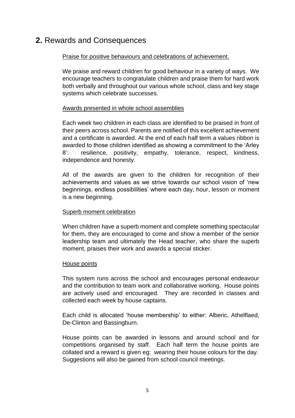### **2.** Rewards and Consequences

#### Praise for positive behaviours and celebrations of achievement.

We praise and reward children for good behaviour in a variety of ways. We encourage teachers to congratulate children and praise them for hard work both verbally and throughout our various whole school, class and key stage systems which celebrate successes.

#### Awards presented in whole school assemblies

Each week two children in each class are identified to be praised in front of their peers across school. Parents are notified of this excellent achievement and a certificate is awarded. At the end of each half term a values ribbon is awarded to those children identified as showing a commitment to the 'Arley 8': resilience, positivity, empathy, tolerance, respect, kindness, independence and honesty.

All of the awards are given to the children for recognition of their achievements and values as we strive towards our school vision of 'new beginnings, endless possibilities' where each day, hour, lesson or moment is a new beginning.

#### Superb moment celebration

When children have a superb moment and complete something spectacular for them, they are encouraged to come and show a member of the senior leadership team and ultimately the Head teacher, who share the superb moment, praises their work and awards a special sticker.

#### House points

This system runs across the school and encourages personal endeavour and the contribution to team work and collaborative working. House points are actively used and encouraged. They are recorded in classes and collected each week by house captains.

Each child is allocated 'house membership' to either: Alberic, Athelflaed, De-Clinton and Bassingburn.

House points can be awarded in lessons and around school and for competitions organised by staff. Each half term the house points are collated and a reward is given eg: wearing their house colours for the day. Suggestions will also be gained from school council meetings.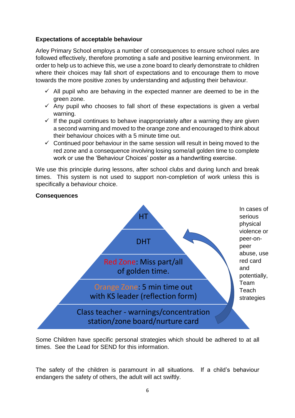#### **Expectations of acceptable behaviour**

Arley Primary School employs a number of consequences to ensure school rules are followed effectively, therefore promoting a safe and positive learning environment. In order to help us to achieve this, we use a zone board to clearly demonstrate to children where their choices may fall short of expectations and to encourage them to move towards the more positive zones by understanding and adjusting their behaviour.

- $\checkmark$  All pupil who are behaving in the expected manner are deemed to be in the green zone.
- $\checkmark$  Any pupil who chooses to fall short of these expectations is given a verbal warning.
- $\checkmark$  If the pupil continues to behave inappropriately after a warning they are given a second warning and moved to the orange zone and encouraged to think about their behaviour choices with a 5 minute time out.
- $\checkmark$  Continued poor behaviour in the same session will result in being moved to the red zone and a consequence involving losing some/all golden time to complete work or use the 'Behaviour Choices' poster as a handwriting exercise.

We use this principle during lessons, after school clubs and during lunch and break times. This system is not used to support non-completion of work unless this is specifically a behaviour choice.

#### **Consequences**



Some Children have specific personal strategies which should be adhered to at all times. See the Lead for SEND for this information.

The safety of the children is paramount in all situations. If a child's behaviour endangers the safety of others, the adult will act swiftly.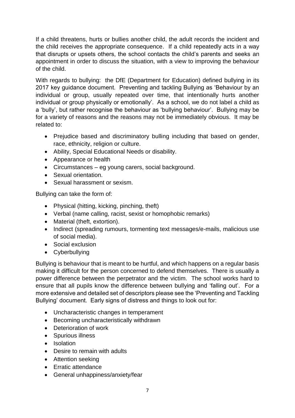If a child threatens, hurts or bullies another child, the adult records the incident and the child receives the appropriate consequence. If a child repeatedly acts in a way that disrupts or upsets others, the school contacts the child's parents and seeks an appointment in order to discuss the situation, with a view to improving the behaviour of the child.

With regards to bullying: the DfE (Department for Education) defined bullying in its 2017 key guidance document. Preventing and tackling Bullying as 'Behaviour by an individual or group, usually repeated over time, that intentionally hurts another individual or group physically or emotionally'. As a school, we do not label a child as a 'bully', but rather recognise the behaviour as 'bullying behaviour'. Bullying may be for a variety of reasons and the reasons may not be immediately obvious. It may be related to:

- Prejudice based and discriminatory bulling including that based on gender, race, ethnicity, religion or culture.
- Ability, Special Educational Needs or disability.
- Appearance or health
- Circumstances eg young carers, social background.
- Sexual orientation.
- Sexual harassment or sexism.

Bullying can take the form of:

- Physical (hitting, kicking, pinching, theft)
- Verbal (name calling, racist, sexist or homophobic remarks)
- Material (theft, extortion).
- Indirect (spreading rumours, tormenting text messages/e-mails, malicious use of social media).
- Social exclusion
- Cyberbullying

Bullying is behaviour that is meant to be hurtful, and which happens on a regular basis making it difficult for the person concerned to defend themselves. There is usually a power difference between the perpetrator and the victim. The school works hard to ensure that all pupils know the difference between bullying and 'falling out'. For a more extensive and detailed set of descriptors please see the 'Preventing and Tackling Bullying' document. Early signs of distress and things to look out for:

- Uncharacteristic changes in temperament
- Becoming uncharacteristically withdrawn
- Deterioration of work
- Spurious illness
- **•** Isolation
- Desire to remain with adults
- Attention seeking
- Frratic attendance
- General unhappiness/anxiety/fear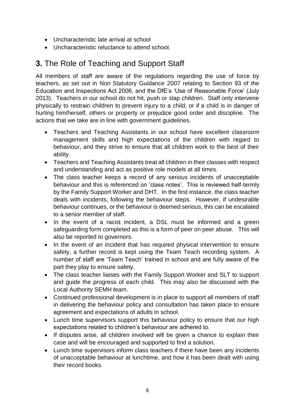- Uncharacteristic late arrival at school
- Uncharacteristic reluctance to attend school.

# **3.** The Role of Teaching and Support Staff

All members of staff are aware of the regulations regarding the use of force by teachers, as set out in Non Statutory Guidance 2007 relating to Section 93 of the Education and Inspections Act 2006, and the DfE's 'Use of Reasonable Force' (July 2013). Teachers in our school do not hit, push or slap children. Staff only intervene physically to restrain children to prevent injury to a child, or if a child is in danger of hurting him/herself, others or property or prejudice good order and discipline. The actions that we take are in line with government guidelines.

- Teachers and Teaching Assistants in our school have excellent classroom management skills and high expectations of the children with regard to behaviour, and they strive to ensure that all children work to the best of their ability.
- Teachers and Teaching Assistants treat all children in their classes with respect and understanding and act as positive role models at all times.
- The class teacher keeps a record of any serious incidents of unacceptable behaviour and this is referenced on 'class notes'. This is reviewed half-termly by the Family Support Worker and DHT. In the first instance, the class teacher deals with incidents, following the behaviour steps. However, if undesirable behaviour continues, or the behaviour is deemed serious, this can be escalated to a senior member of staff.
- In the event of a racist incident, a DSL must be informed and a green safeguarding form completed as this is a form of peer on peer abuse. This will also be reported to governors.
- In the event of an incident that has required physical intervention to ensure safety, a further record is kept using the Team Teach recording system. A number of staff are 'Team Teach' trained in school and are fully aware of the part they play to ensure safety.
- The class teacher liaises with the Family Support Worker and SLT to support and guide the progress of each child. This may also be discussed with the Local Authority SEMH team.
- Continued professional development is in place to support all members of staff in delivering the behaviour policy and consultation has taken place to ensure agreement and expectations of adults in school.
- Lunch time supervisors support this behaviour policy to ensure that our high expectations related to children's behaviour are adhered to.
- If disputes arise, all children involved will be given a chance to explain their case and will be encouraged and supported to find a solution.
- Lunch time supervisors inform class teachers if there have been any incidents of unacceptable behaviour at lunchtime, and how it has been dealt with using their record books.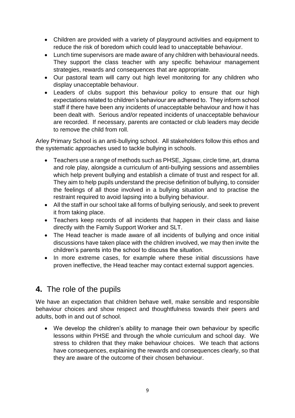- Children are provided with a variety of playground activities and equipment to reduce the risk of boredom which could lead to unacceptable behaviour.
- Lunch time supervisors are made aware of any children with behavioural needs. They support the class teacher with any specific behaviour management strategies, rewards and consequences that are appropriate.
- Our pastoral team will carry out high level monitoring for any children who display unacceptable behaviour.
- Leaders of clubs support this behaviour policy to ensure that our high expectations related to children's behaviour are adhered to. They inform school staff if there have been any incidents of unacceptable behaviour and how it has been dealt with. Serious and/or repeated incidents of unacceptable behaviour are recorded. If necessary, parents are contacted or club leaders may decide to remove the child from roll.

Arley Primary School is an anti-bullying school. All stakeholders follow this ethos and the systematic approaches used to tackle bullying in schools.

- Teachers use a range of methods such as PHSE, Jigsaw, circle time, art, drama and role play, alongside a curriculum of anti-bullying sessions and assemblies which help prevent bullying and establish a climate of trust and respect for all. They aim to help pupils understand the precise definition of bullying, to consider the feelings of all those involved in a bullying situation and to practise the restraint required to avoid lapsing into a bullying behaviour.
- All the staff in our school take all forms of bullying seriously, and seek to prevent it from taking place.
- Teachers keep records of all incidents that happen in their class and liaise directly with the Family Support Worker and SLT.
- The Head teacher is made aware of all incidents of bullying and once initial discussions have taken place with the children involved, we may then invite the children's parents into the school to discuss the situation.
- In more extreme cases, for example where these initial discussions have proven ineffective, the Head teacher may contact external support agencies.

# **4.** The role of the pupils

We have an expectation that children behave well, make sensible and responsible behaviour choices and show respect and thoughtfulness towards their peers and adults, both in and out of school.

 We develop the children's ability to manage their own behaviour by specific lessons within PHSE and through the whole curriculum and school day. We stress to children that they make behaviour choices. We teach that actions have consequences, explaining the rewards and consequences clearly, so that they are aware of the outcome of their chosen behaviour.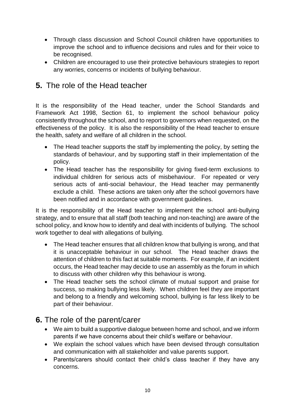- Through class discussion and School Council children have opportunities to improve the school and to influence decisions and rules and for their voice to be recognised.
- Children are encouraged to use their protective behaviours strategies to report any worries, concerns or incidents of bullying behaviour.

# **5.** The role of the Head teacher

It is the responsibility of the Head teacher, under the School Standards and Framework Act 1998, Section 61, to implement the school behaviour policy consistently throughout the school, and to report to governors when requested, on the effectiveness of the policy. It is also the responsibility of the Head teacher to ensure the health, safety and welfare of all children in the school.

- The Head teacher supports the staff by implementing the policy, by setting the standards of behaviour, and by supporting staff in their implementation of the policy.
- The Head teacher has the responsibility for giving fixed-term exclusions to individual children for serious acts of misbehaviour. For repeated or very serious acts of anti-social behaviour, the Head teacher may permanently exclude a child. These actions are taken only after the school governors have been notified and in accordance with government guidelines.

It is the responsibility of the Head teacher to implement the school anti-bullying strategy, and to ensure that all staff (both teaching and non-teaching) are aware of the school policy, and know how to identify and deal with incidents of bullying. The school work together to deal with allegations of bullying.

- The Head teacher ensures that all children know that bullying is wrong, and that it is unacceptable behaviour in our school. The Head teacher draws the attention of children to this fact at suitable moments. For example, if an incident occurs, the Head teacher may decide to use an assembly as the forum in which to discuss with other children why this behaviour is wrong.
- The Head teacher sets the school climate of mutual support and praise for success, so making bullying less likely. When children feel they are important and belong to a friendly and welcoming school, bullying is far less likely to be part of their behaviour.

## **6.** The role of the parent/carer

- We aim to build a supportive dialogue between home and school, and we inform parents if we have concerns about their child's welfare or behaviour.
- We explain the school values which have been devised through consultation and communication with all stakeholder and value parents support.
- Parents/carers should contact their child's class teacher if they have any concerns.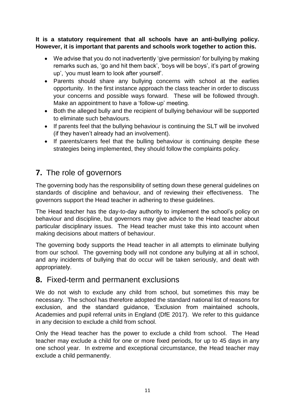#### **It is a statutory requirement that all schools have an anti-bullying policy. However, it is important that parents and schools work together to action this.**

- We advise that you do not inadvertently 'give permission' for bullying by making remarks such as, 'go and hit them back', 'boys will be boys', it's part of growing up', 'you must learn to look after yourself'.
- Parents should share any bullying concerns with school at the earlies opportunity. In the first instance approach the class teacher in order to discuss your concerns and possible ways forward. These will be followed through. Make an appointment to have a 'follow-up' meeting.
- Both the alleged bully and the recipient of bullying behaviour will be supported to eliminate such behaviours.
- If parents feel that the bullying behaviour is continuing the SLT will be involved (if they haven't already had an involvement).
- If parents/carers feel that the bulling behaviour is continuing despite these strategies being implemented, they should follow the complaints policy.

# **7.** The role of governors

The governing body has the responsibility of setting down these general guidelines on standards of discipline and behaviour, and of reviewing their effectiveness. The governors support the Head teacher in adhering to these guidelines.

The Head teacher has the day-to-day authority to implement the school's policy on behaviour and discipline, but governors may give advice to the Head teacher about particular disciplinary issues. The Head teacher must take this into account when making decisions about matters of behaviour.

The governing body supports the Head teacher in all attempts to eliminate bullying from our school. The governing body will not condone any bullying at all in school, and any incidents of bullying that do occur will be taken seriously, and dealt with appropriately.

### **8.** Fixed-term and permanent exclusions

We do not wish to exclude any child from school, but sometimes this may be necessary. The school has therefore adopted the standard national list of reasons for exclusion, and the standard guidance, 'Exclusion from maintained schools, Academies and pupil referral units in England (DfE 2017). We refer to this guidance in any decision to exclude a child from school.

Only the Head teacher has the power to exclude a child from school. The Head teacher may exclude a child for one or more fixed periods, for up to 45 days in any one school year. In extreme and exceptional circumstance, the Head teacher may exclude a child permanently.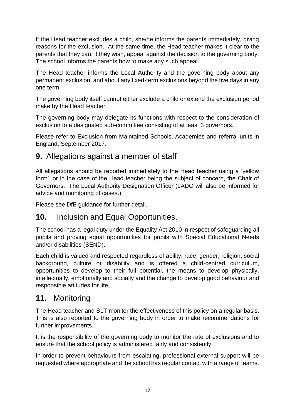If the Head teacher excludes a child, she/he informs the parents immediately, giving reasons for the exclusion. At the same time, the Head teacher makes it clear to the parents that they can, if they wish, appeal against the decision to the governing body. The school informs the parents how to make any such appeal.

The Head teacher informs the Local Authority and the governing body about any permanent exclusion, and about any fixed-term exclusions beyond the five days in any one term.

The governing body itself cannot either exclude a child or extend the exclusion period make by the Head teacher.

The governing body may delegate its functions with respect to the consideration of exclusion to a designated sub-committee consisting of at least 3 governors.

Please refer to Exclusion from Maintained Schools, Academies and referral units in England, September 2017.

### **9.** Allegations against a member of staff

All allegations should be reported immediately to the Head teacher using a 'yellow form', or in the case of the Head teacher being the subject of concern, the Chair of Governors. The Local Authority Designation Officer (LADO will also be informed for advice and monitoring of cases.)

Please see DfE guidance for further detail.

### **10.** Inclusion and Equal Opportunities.

The school has a legal duty under the Equality Act 2010 in respect of safeguarding all pupils and proving equal opportunities for pupils with Special Educational Needs and/or disabilities (SEND).

Each child is valued and respected regardless of ability, race, gender, religion, social background, culture or disability and is offered a child-centred curriculum, opportunities to develop to their full potential, the means to develop physically, intellectually, emotionally and socially and the change to develop good behaviour and responsible attitudes for life.

### **11.** Monitoring

The Head teacher and SLT monitor the effectiveness of this policy on a regular basis. This is also reported to the governing body in order to make recommendations for further improvements.

It is the responsibility of the governing body to monitor the rate of exclusions and to ensure that the school policy is administered fairly and consistently.

In order to prevent behaviours from escalating, professional external support will be requested where appropriate and the school has regular contact with a range of teams.